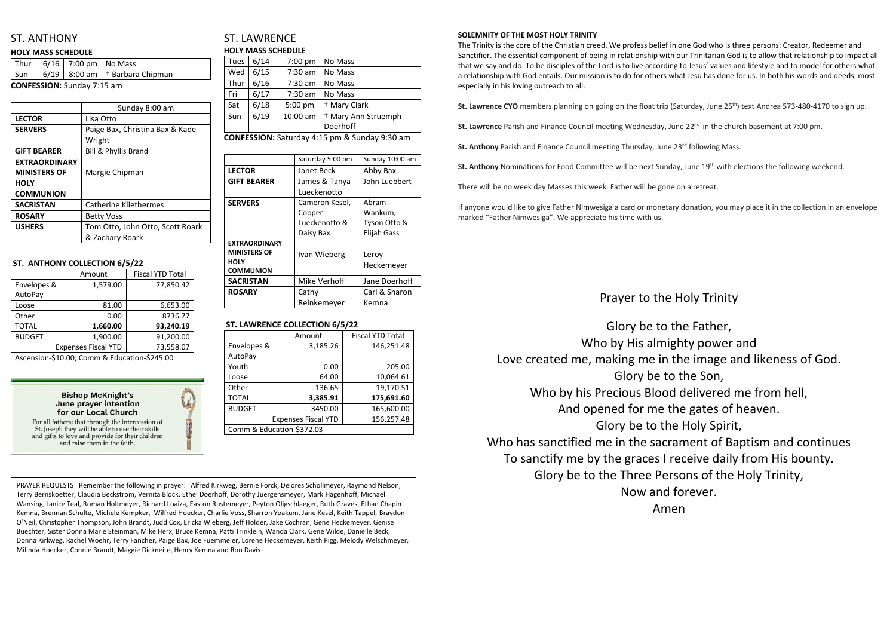## ST. ANTHONY

#### **HOLY MASS SCHEDULE**

|                                   |  | Thur   $6/16$   7:00 pm   No Mass |                                                   |  |
|-----------------------------------|--|-----------------------------------|---------------------------------------------------|--|
|                                   |  |                                   | $\sqrt{Sun}$   6/19   8:00 am   † Barbara Chipman |  |
| <b>CONFESSION:</b> Sunday 7:15 am |  |                                   |                                                   |  |

|                      | Sunday 8:00 am                   |  |
|----------------------|----------------------------------|--|
| <b>LECTOR</b>        | Lisa Otto                        |  |
| <b>SERVERS</b>       | Paige Bax, Christina Bax & Kade  |  |
|                      | Wright                           |  |
| <b>GIFT BEARER</b>   | <b>Bill &amp; Phyllis Brand</b>  |  |
| <b>EXTRAORDINARY</b> |                                  |  |
| <b>MINISTERS OF</b>  | Margie Chipman                   |  |
| <b>HOLY</b>          |                                  |  |
| <b>COMMUNION</b>     |                                  |  |
| <b>SACRISTAN</b>     | <b>Catherine Kliethermes</b>     |  |
| <b>ROSARY</b>        | <b>Betty Voss</b>                |  |
| <b>USHERS</b>        | Tom Otto, John Otto, Scott Roark |  |
|                      | & Zachary Roark                  |  |

#### **ST. ANTHONY COLLECTION 6/5/22**

|                                              | Amount   | <b>Fiscal YTD Total</b> |  |
|----------------------------------------------|----------|-------------------------|--|
| Envelopes &                                  | 1,579.00 | 77,850.42               |  |
| AutoPay                                      |          |                         |  |
| Loose                                        | 81.00    | 6,653.00                |  |
| Other                                        | 0.00     | 8736.77                 |  |
| <b>TOTAL</b>                                 | 1,660.00 | 93,240.19               |  |
| <b>BUDGET</b>                                | 1,900.00 | 91,200.00               |  |
| <b>Expenses Fiscal YTD</b><br>73,558.07      |          |                         |  |
| Ascension-\$10.00; Comm & Education-\$245.00 |          |                         |  |



St. Joseph they will be able to use their skills and gifts to love and provide for their children and raise them in the faith.

## ST. LAWRENCE **HOLY MASS SCHEDULE**

| <b>Tues</b> | 6/14 | 7:00 pm   | No Mass                        |
|-------------|------|-----------|--------------------------------|
| Wed         | 6/15 | 7:30 am   | No Mass                        |
| Thur        | 6/16 | $7:30$ am | No Mass                        |
| Fri         | 6/17 | $7:30$ am | No Mass                        |
| Sat         | 6/18 | 5:00 pm   | <sup>†</sup> Mary Clark        |
| Sun         | 6/19 | 10:00 am  | <sup>†</sup> Mary Ann Struemph |
|             |      |           | Doerhoff                       |

**CONFESSION:** Saturday 4:15 pm & Sunday 9:30 am

|                      | Saturday 5:00 pm | Sunday 10:00 am    |
|----------------------|------------------|--------------------|
| <b>LECTOR</b>        | Janet Beck       | Abby Bax           |
| <b>GIFT BEARER</b>   | James & Tanya    | John Luebbert      |
|                      | Lueckenotto      |                    |
| <b>SERVERS</b>       | Cameron Kesel,   | Abram              |
|                      | Cooper           | Wankum,            |
|                      | Lueckenotto &    | Tyson Otto &       |
|                      | Daisy Bax        | <b>Elijah Gass</b> |
| <b>EXTRAORDINARY</b> |                  |                    |
| <b>MINISTERS OF</b>  | Ivan Wieberg     | Leroy              |
| <b>HOLY</b>          |                  | Heckemeyer         |
| <b>COMMUNION</b>     |                  |                    |
| <b>SACRISTAN</b>     | Mike Verhoff     | Jane Doerhoff      |
| <b>ROSARY</b>        | Cathy            | Carl & Sharon      |
|                      | Reinkemeyer      | Kemna              |

### **ST. LAWRENCE COLLECTION 6/5/22**

|                            | Amount   | <b>Fiscal YTD Total</b> |
|----------------------------|----------|-------------------------|
| Envelopes &                | 3,185.26 | 146,251.48              |
| AutoPay                    |          |                         |
| Youth                      | 0.00     | 205.00                  |
| Loose                      | 64.00    | 10,064.61               |
| Other                      | 136.65   | 19,170.51               |
| <b>TOTAL</b>               | 3,385.91 | 175,691.60              |
| <b>BUDGET</b>              | 3450.00  | 165,600.00              |
| <b>Expenses Fiscal YTD</b> |          | 156,257.48              |
| Comm & Education-\$372.03  |          |                         |

#### **SOLEMNITY OF THE MOST HOLY TRINITY**

the Father, ighty power and the image and likeness of God. o the Son, d delivered me from hell, the gates of heaven. e Holy Spirit, rament of Baptism and continues receive daily from His bounty. rsons of the Holy Trinity, forever. Amen

The Trinity is the core of the Christian creed. We profess belief in one God who is three persons: Creator, Redeemer and Sanctifier. The essential component of being in relationship with our Trinitarian God is to allow that relationship to impact all that we say and do. To be disciples of the Lord is to live according to Jesus' values and lifestyle and to model for others what a relationship with God entails. Our mission is to do for others what Jesu has done for us. In both his words and deeds, most especially in his loving outreach to all.

St. Lawrence CYO members planning on going on the float trip (Saturday, June 25<sup>th</sup>) text Andrea 573-480-4170 to sign up.

**St. Lawrence** Parish and Finance Council meeting Wednesday, June 22<sup>nd</sup> in the church basement at 7:00 pm.

**St. Anthony** Parish and Finance Council meeting Thursday, June 23<sup>rd</sup> following Mass.

**St. Anthony** Nominations for Food Committee will be next Sunday, June 19th with elections the following weekend.

There will be no week day Masses this week. Father will be gone on a retreat.

If anyone would like to give Father Nimwesiga a card or monetary donation, you may place it in the collection in an envelope marked "Father Nimwesiga". We appreciate his time with us.

## Prayer to the Holy Trinity

| Glory be to                       |
|-----------------------------------|
| Who by His almi                   |
| Love created me, making me in     |
| Glory be to                       |
| Who by his Precious Blood         |
| And opened for me t               |
| Glory be to th                    |
| Who has sanctified me in the sacr |
| To sanctify me by the graces I    |
| Glory be to the Three Per         |
| Now and                           |
|                                   |

PRAYER REQUESTS Remember the following in prayer: Alfred Kirkweg, Bernie Forck, Delores Schollmeyer, Raymond Nelson, Terry Bernskoetter, Claudia Beckstrom, Vernita Block, Ethel Doerhoff, Dorothy Juergensmeyer, Mark Hagenhoff, Michael Wansing, Janice Teal, Roman Holtmeyer, Richard Loaiza, Easton Rustemeyer, Peyton Oligschlaeger, Ruth Graves, Ethan Chapin Kemna, Brennan Schulte, Michele Kempker, Wilfred Hoecker, Charlie Voss, Sharron Yoakum, Jane Kesel, Keith Tappel, Braydon O'Neil, Christopher Thompson, John Brandt, Judd Cox, Ericka Wieberg, Jeff Holder, Jake Cochran, Gene Heckemeyer, Genise Buechter, Sister Donna Marie Steinman, Mike Herx, Bruce Kemna, Patti Trinklein, Wanda Clark, Gene Wilde, Danielle Beck, Donna Kirkweg, Rachel Woehr, Terry Fancher, Paige Bax, Joe Fuemmeler, Lorene Heckemeyer, Keith Pigg, Melody Welschmeyer, Milinda Hoecker, Connie Brandt, Maggie Dickneite, Henry Kemna and Ron Davis